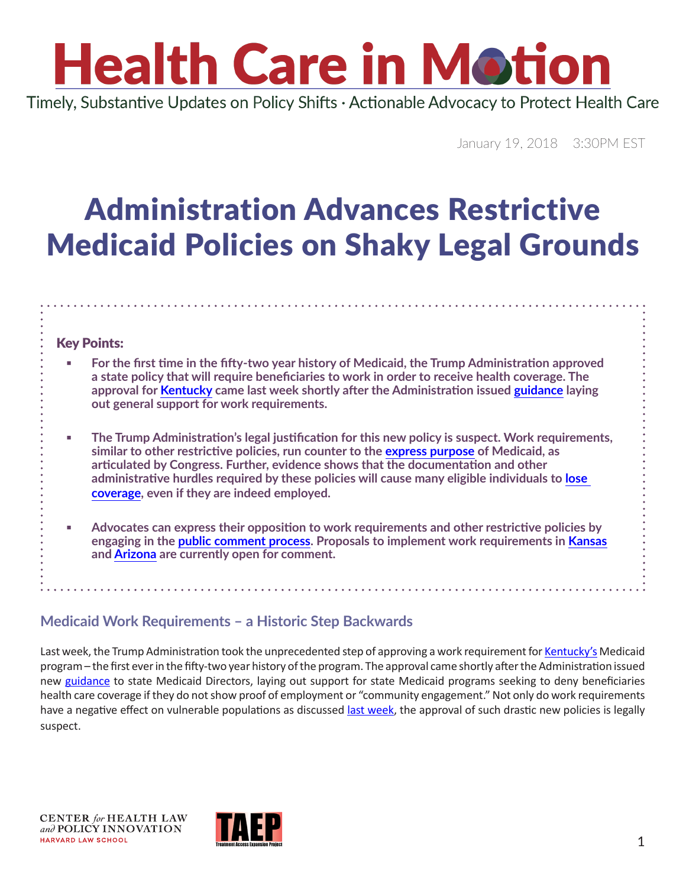# **Health Care in Motion**

Timely, Substantive Updates on Policy Shifts · Actionable Advocacy to Protect Health Care

January 19, 2018 3:30PM EST

### Administration Advances Restrictive Medicaid Policies on Shaky Legal Grounds

#### Key Points:

- **For the first time in the fifty-two year history of Medicaid, the Trump Administration approved a state policy that will require beneficiaries to work in order to receive health coverage. The approval for [Kentucky](http://www.modernhealthcare.com/article/20180112/NEWS/180119945) came last week shortly after the Administration issued [guidance](https://www.medicaid.gov/federal-policy-guidance/downloads/smd18002.pdf) laying out general support for work requirements.**
- **<u>■ The Trump Administration's legal justification for this new policy is suspect. Work requirements,</u> similar to other restrictive policies, run counter to the [express purpose](https://www.gpo.gov/fdsys/pkg/USCODE-2011-title42/pdf/USCODE-2011-title42-chap7-subchapXIX-sec1396a.pdf) of Medicaid, as articulated by Congress. Further, evidence shows that the documentation and other administrative hurdles required by these policies will cause many eligible individuals to [lose](https://www.nytimes.com/2018/01/18/upshot/medicaid-enrollment-obstacles-kentucky-work-requirement.html)  [coverage,](https://www.nytimes.com/2018/01/18/upshot/medicaid-enrollment-obstacles-kentucky-work-requirement.html) even if they are indeed employed.**
- **Advocates can express their opposition to work requirements and other restrictive policies by engaging in the [public comment process](https://www.medicaid.gov/medicaid/section-1115-demo/transparency/index.html). Proposals to implement work requirements in [Kansas](https://public.medicaid.gov/connect.ti/public.comments/viewQuestionnaire?qid=1894179) and [Arizona](https://public.medicaid.gov/connect.ti/public.comments/view?objectId=1894275) are currently open for comment.**

#### **Medicaid Work Requirements – a Historic Step Backwards**

Last week, the Trump Administration took the unprecedented step of approving a work requirement for [Kentucky's](http://www.modernhealthcare.com/article/20180112/NEWS/180119945) Medicaid program – the first ever in the fifty-two year history of the program. The approval came shortly after the Administration issued new [guidance](https://www.medicaid.gov/federal-policy-guidance/downloads/smd18002.pdf) to state Medicaid Directors, laying out support for state Medicaid programs seeking to deny beneficiaries health care coverage if they do not show proof of employment or "community engagement." Not only do work requirements have a negative effect on vulnerable populations as discussed [last week,](https://www.chlpi.org/wp-content/uploads/2013/12/HCIM_01_12_2018_updated-1_17_2018.pdf) the approval of such drastic new policies is legally suspect.

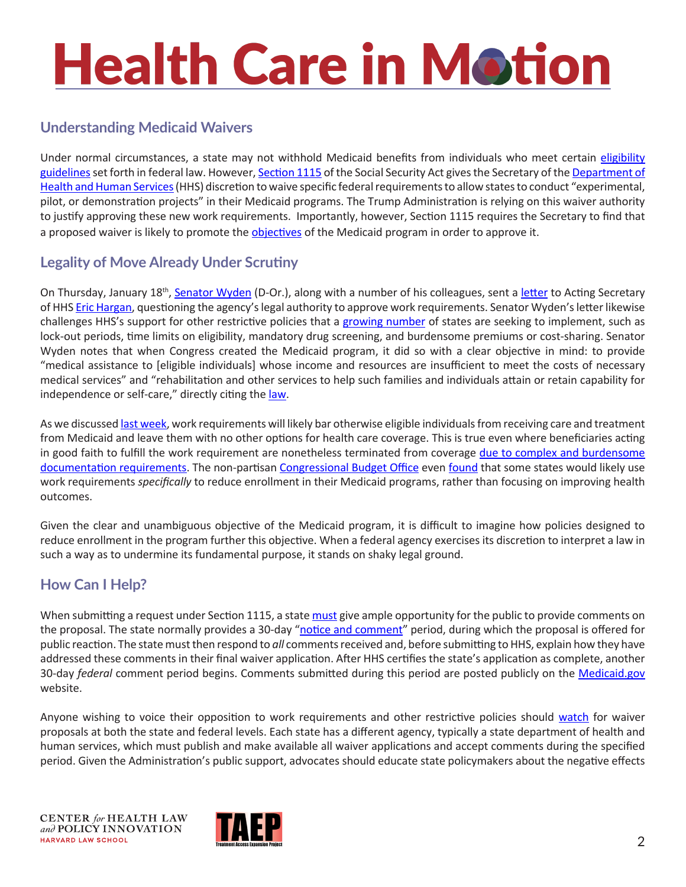# **Health Care in Motion**

#### **Understanding Medicaid Waivers**

Under normal circumstances, a state may not withhold Medicaid benefits from individuals who meet certain eligibility [guidelines](https://www.medicaid.gov/medicaid/eligibility/index.html) set forth in federal law. However, [Section 1115](http://bit.ly/2Dgg224) of the Social Security Act gives the Secretary of the [Department of](https://www.hhs.gov) [Health and Human Services](https://www.hhs.gov) (HHS) discretion to waive specific federal requirements to allow states to conduct "experimental, pilot, or demonstration projects" in their Medicaid programs. The Trump Administration is relying on this waiver authority to justify approving these new work requirements. Importantly, however, Section 1115 requires the Secretary to find that a proposed waiver is likely to promote the [objectives](http://bit.ly/2D0HrZ7) of the Medicaid program in order to approve it.

#### **Legality of Move Already Under Scrutiny**

On Thursday, January 18<sup>th</sup>, [Senator Wyden](https://www.wyden.senate.gov/contact/) (D-Or.), along with a number of his colleagues, sent a [letter](https://www.finance.senate.gov/imo/media/doc/011818 Wyden Senate Democrats Letter to Hargan on Medicaid Waiver Authority.pdf) to Acting Secretary of HHS [Eric Hargan,](https://www.hhs.gov/about/leadership/eric-d-hargan/index.html) questioning the agency's legal authority to approve work requirements. Senator Wyden's letter likewise challenges HHS's support for other restrictive policies that a [growing number](https://www.kff.org/report-section/section-1115-medicaid-waiver-tracker-notes/) of states are seeking to implement, such as lock-out periods, time limits on eligibility, mandatory drug screening, and burdensome premiums or cost-sharing. Senator Wyden notes that when Congress created the Medicaid program, it did so with a clear objective in mind: to provide "medical assistance to [eligible individuals] whose income and resources are insufficient to meet the costs of necessary medical services" and "rehabilitation and other services to help such families and individuals attain or retain capability for independence or self-care," directly citing the [law](https://www.gpo.gov/fdsys/pkg/USCODE-2011-title42/pdf/USCODE-2011-title42-chap7-subchapXIX-sec1396a.pdf).

As we discussed [last week,](https://www.chlpi.org/wp-content/uploads/2013/12/HCIM_01_12_2018_updated-1_17_2018.pdf) work requirements will likely bar otherwise eligible individuals from receiving care and treatment from Medicaid and leave them with no other options for health care coverage. This is true even where beneficiaries acting in good faith to fulfill the work requirement are nonetheless terminated from coverage [due to complex and burdensome](https://www.nytimes.com/2018/01/18/upshot/medicaid-enrollment-obstacles-kentucky-work-requirement.html)  [documentation requirements.](https://www.nytimes.com/2018/01/18/upshot/medicaid-enrollment-obstacles-kentucky-work-requirement.html) The non-partisan [Congressional Budget Office](https://www.cbo.gov/) even [found](https://www.cbo.gov/system/files/115th-congress-2017-2018/costestimate/53126-health.pdf#page=7) that some states would likely use work requirements *specifically* to reduce enrollment in their Medicaid programs, rather than focusing on improving health outcomes.

Given the clear and unambiguous objective of the Medicaid program, it is difficult to imagine how policies designed to reduce enrollment in the program further this objective. When a federal agency exercises its discretion to interpret a law in such a way as to undermine its fundamental purpose, it stands on shaky legal ground.

#### **How Can I Help?**

When submitting a request under Section 1115, a state [must](https://www.federalregister.gov/documents/2012/02/27/2012-4354/medicaid-program-review-and-approval-process-for-section-1115-demonstrations) give ample opportunity for the public to provide comments on the proposal. The state normally provides a 30-day "[notice and comment"](https://www.medicaid.gov/medicaid/section-1115-demo/transparency/index.html) period, during which the proposal is offered for public reaction. The state must then respond to *all* comments received and, before submitting to HHS, explain how they have addressed these comments in their final waiver application. After HHS certifies the state's application as complete, another 30-day *federal* comment period begins. Comments submitted during this period are posted publicly on the [Medicaid.gov](https://public.medicaid.gov/connect.ti/public.comments/view?objectId=3217104) website.

Anyone wishing to voice their opposition to work requirements and other restrictive policies should [watch](https://www.kff.org/medicaid/issue-brief/which-states-have-approved-and-pending-section-1115-medicaid-waivers/?utm_source=web&utm_medium=trending&utm_campaign=waivers) for waiver proposals at both the state and federal levels. Each state has a different agency, typically a state department of health and human services, which must publish and make available all waiver applications and accept comments during the specified period. Given the Administration's public support, advocates should educate state policymakers about the negative effects